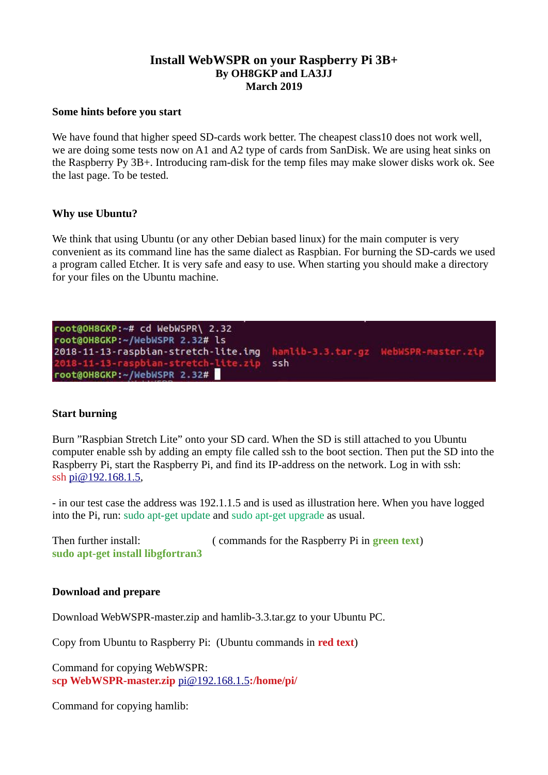# **Install WebWSPR on your Raspberry Pi 3B+ By OH8GKP and LA3JJ March 2019**

#### **Some hints before you start**

We have found that higher speed SD-cards work better. The cheapest class10 does not work well, we are doing some tests now on A1 and A2 type of cards from SanDisk. We are using heat sinks on the Raspberry Py 3B+. Introducing ram-disk for the temp files may make slower disks work ok. See the last page. To be tested.

## **Why use Ubuntu?**

We think that using Ubuntu (or any other Debian based linux) for the main computer is very convenient as its command line has the same dialect as Raspbian. For burning the SD-cards we used a program called Etcher. It is very safe and easy to use. When starting you should make a directory for your files on the Ubuntu machine.

```
root@OH8GKP:~# cd WebWSPR\ 2.32
root@OH8GKP:~/WebWSPR 2.32# ls
2018-11-13-raspbian-stretch-lite.img hamlib-3.3.tar.gz WebWSPR-master.zip
                                      ssh
 018 - 11 - 13 -rasp
                ian-stretch-lite.zip
root@OH8GKP:~/WebWSPR 2.32#
```
## **Start burning**

Burn "Raspbian Stretch Lite" onto your SD card. When the SD is still attached to you Ubuntu computer enable ssh by adding an empty file called ssh to the boot section. Then put the SD into the Raspberry Pi, start the Raspberry Pi, and find its IP-address on the network. Log in with ssh: ssh [pi@192.168.1.5,](mailto:pi@192.168.1.5)

- in our test case the address was 192.1.1.5 and is used as illustration here. When you have logged into the Pi, run: sudo apt-get update and sudo apt-get upgrade as usual.

| Then further install:             | (commands for the Raspberry Pi in <b>green text</b> ) |
|-----------------------------------|-------------------------------------------------------|
| sudo apt-get install libgfortran3 |                                                       |

## **Download and prepare**

Download WebWSPR-master.zip and hamlib-3.3.tar.gz to your Ubuntu PC.

Copy from Ubuntu to Raspberry Pi: (Ubuntu commands in **red text**)

Command for copying WebWSPR: **scp WebWSPR-master.zip** [pi@192.168.1.5](mailto:pi@192.168.1.5)**:/home/pi/**

Command for copying hamlib: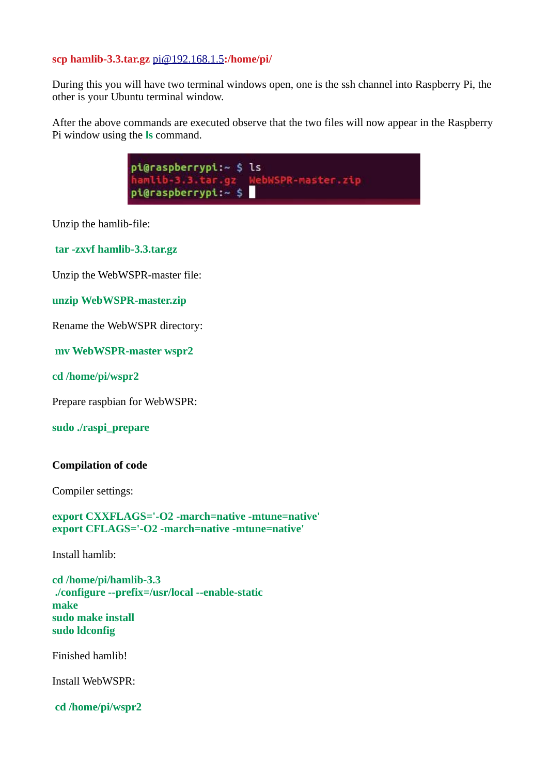## **scp hamlib-3.3.tar.gz** [pi@192.168.1.5](mailto:pi@192.168.1.5)**:/home/pi/**

During this you will have two terminal windows open, one is the ssh channel into Raspberry Pi, the other is your Ubuntu terminal window.

After the above commands are executed observe that the two files will now appear in the Raspberry Pi window using the **ls** command.



Unzip the hamlib-file:

 **tar -zxvf hamlib-3.3.tar.gz**

Unzip the WebWSPR-master file:

**unzip WebWSPR-master.zip**

Rename the WebWSPR directory:

 **mv WebWSPR-master wspr2**

**cd /home/pi/wspr2**

Prepare raspbian for WebWSPR:

**sudo ./raspi\_prepare**

## **Compilation of code**

Compiler settings:

**export CXXFLAGS='-O2 -march=native -mtune=native' export CFLAGS='-O2 -march=native -mtune=native'**

Install hamlib:

**cd /home/pi/hamlib-3.3 ./configure --prefix=/usr/local --enable-static make sudo make install sudo ldconfig**

Finished hamlib!

Install WebWSPR:

 **cd /home/pi/wspr2**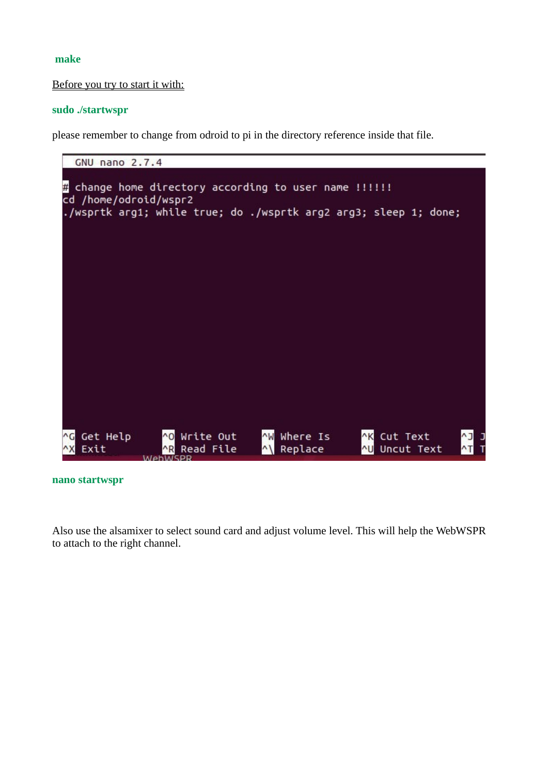## **make**

#### Before you try to start it with:

#### **sudo ./startwspr**

please remember to change from odroid to pi in the directory reference inside that file.



**nano startwspr**

Also use the alsamixer to select sound card and adjust volume level. This will help the WebWSPR to attach to the right channel.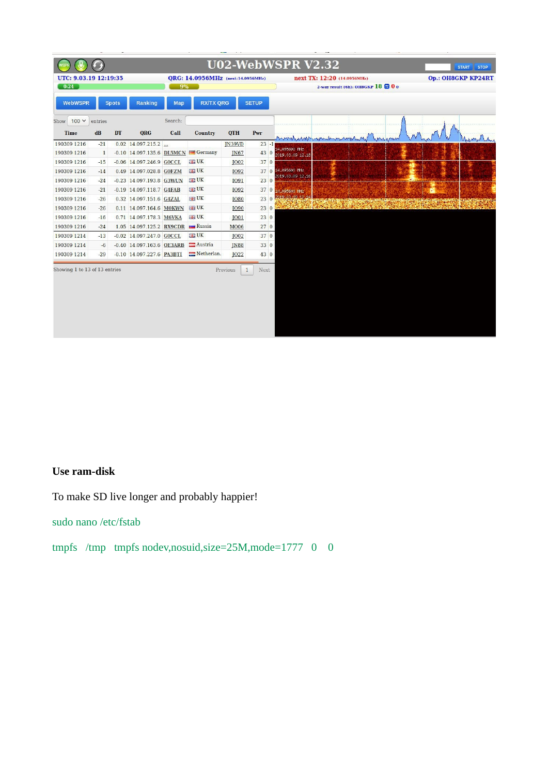

## **Use ram-disk**

To make SD live longer and probably happier!

sudo nano /etc/fstab

tmpfs /tmp tmpfs nodev,nosuid,size=25M,mode=1777 0 0